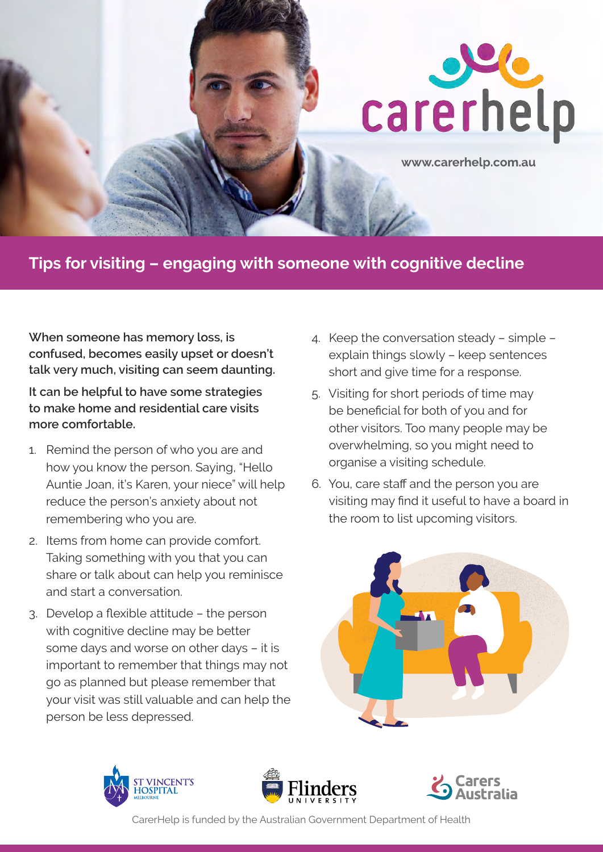

www.carerhelp.com.au

## **Tips for visiting – engaging with someone with cognitive decline**

**When someone has memory loss, is confused, becomes easily upset or doesn't talk very much, visiting can seem daunting.** 

**It can be helpful to have some strategies to make home and residential care visits more comfortable.** 

- 1. Remind the person of who you are and how you know the person. Saying, "Hello Auntie Joan, it's Karen, your niece" will help reduce the person's anxiety about not remembering who you are.
- 2. Items from home can provide comfort. Taking something with you that you can share or talk about can help you reminisce and start a conversation.
- 3. Develop a flexible attitude the person with cognitive decline may be better some days and worse on other days – it is important to remember that things may not go as planned but please remember that your visit was still valuable and can help the person be less depressed.
- 4. Keep the conversation steady simple explain things slowly – keep sentences short and give time for a response.
- 5. Visiting for short periods of time may be beneficial for both of you and for other visitors. Too many people may be overwhelming, so you might need to organise a visiting schedule.
- 6. You, care staff and the person you are visiting may find it useful to have a board in the room to list upcoming visitors.









CarerHelp is funded by the Australian Government Department of Health